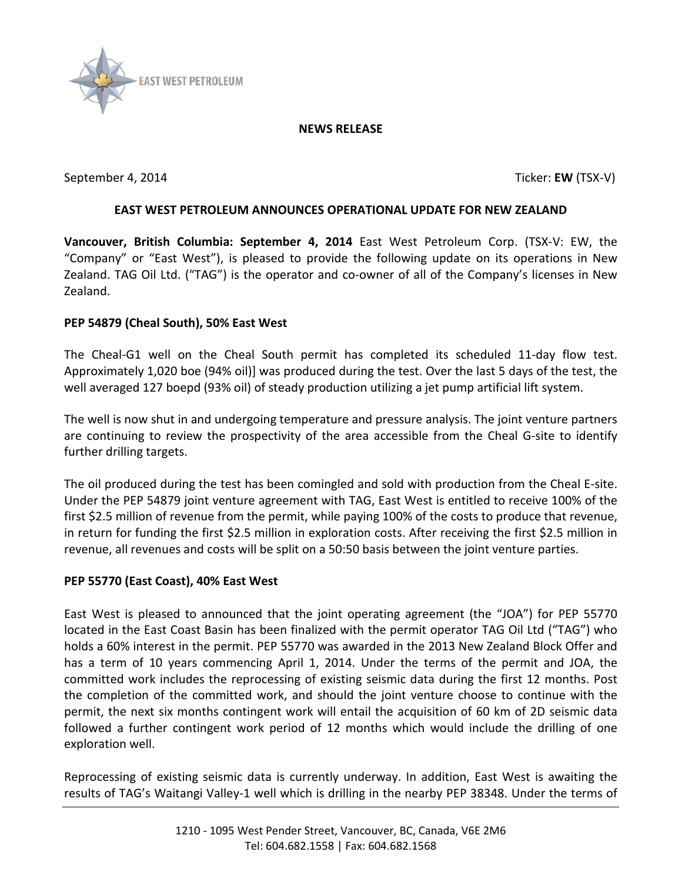

#### **NEWS RELEASE**

September 4, 2014 **Ticker: EW** (TSX-V)

# **EAST WEST PETROLEUM ANNOUNCES OPERATIONAL UPDATE FOR NEW ZEALAND**

**Vancouver, British Columbia: September 4, 2014** East West Petroleum Corp. (TSX-V: EW, the "Company" or "East West"), is pleased to provide the following update on its operations in New Zealand. TAG Oil Ltd. ("TAG") is the operator and co-owner of all of the Company's licenses in New Zealand.

### **PEP 54879 (Cheal South), 50% East West**

The Cheal-G1 well on the Cheal South permit has completed its scheduled 11-day flow test. Approximately 1,020 boe (94% oil)] was produced during the test. Over the last 5 days of the test, the well averaged 127 boepd (93% oil) of steady production utilizing a jet pump artificial lift system.

The well is now shut in and undergoing temperature and pressure analysis. The joint venture partners are continuing to review the prospectivity of the area accessible from the Cheal G-site to identify further drilling targets.

The oil produced during the test has been comingled and sold with production from the Cheal E-site. Under the PEP 54879 joint venture agreement with TAG, East West is entitled to receive 100% of the first \$2.5 million of revenue from the permit, while paying 100% of the costs to produce that revenue, in return for funding the first \$2.5 million in exploration costs. After receiving the first \$2.5 million in revenue, all revenues and costs will be split on a 50:50 basis between the joint venture parties.

### **PEP 55770 (East Coast), 40% East West**

East West is pleased to announced that the joint operating agreement (the "JOA") for PEP 55770 located in the East Coast Basin has been finalized with the permit operator TAG Oil Ltd ("TAG") who holds a 60% interest in the permit. PEP 55770 was awarded in the 2013 New Zealand Block Offer and has a term of 10 years commencing April 1, 2014. Under the terms of the permit and JOA, the committed work includes the reprocessing of existing seismic data during the first 12 months. Post the completion of the committed work, and should the joint venture choose to continue with the permit, the next six months contingent work will entail the acquisition of 60 km of 2D seismic data followed a further contingent work period of 12 months which would include the drilling of one exploration well.

Reprocessing of existing seismic data is currently underway. In addition, East West is awaiting the results of TAG's Waitangi Valley-1 well which is drilling in the nearby PEP 38348. Under the terms of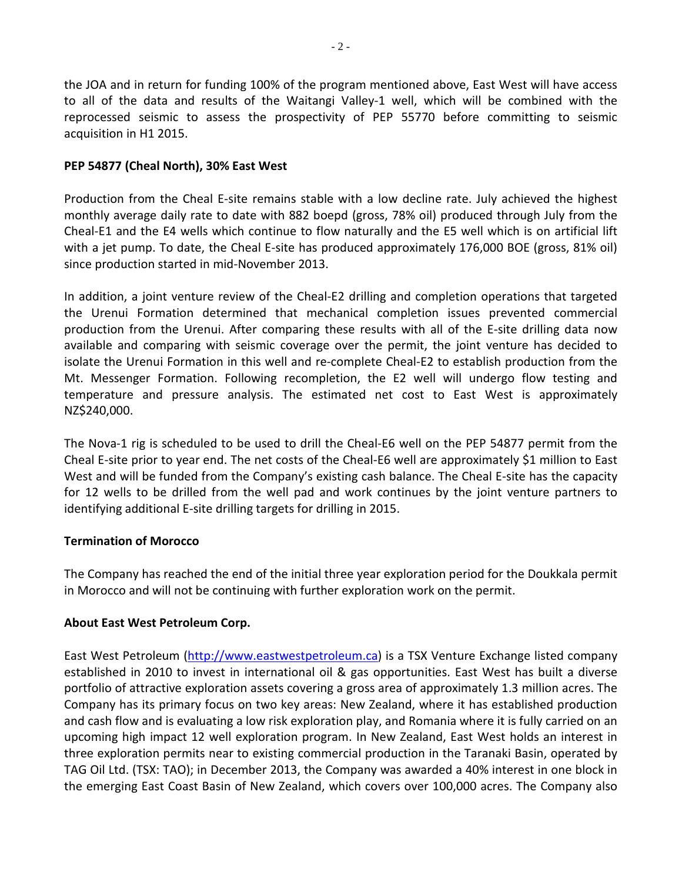the JOA and in return for funding 100% of the program mentioned above, East West will have access to all of the data and results of the Waitangi Valley-1 well, which will be combined with the reprocessed seismic to assess the prospectivity of PEP 55770 before committing to seismic acquisition in H1 2015.

## **PEP 54877 (Cheal North), 30% East West**

Production from the Cheal E-site remains stable with a low decline rate. July achieved the highest monthly average daily rate to date with 882 boepd (gross, 78% oil) produced through July from the Cheal-E1 and the E4 wells which continue to flow naturally and the E5 well which is on artificial lift with a jet pump. To date, the Cheal E-site has produced approximately 176,000 BOE (gross, 81% oil) since production started in mid-November 2013.

In addition, a joint venture review of the Cheal-E2 drilling and completion operations that targeted the Urenui Formation determined that mechanical completion issues prevented commercial production from the Urenui. After comparing these results with all of the E-site drilling data now available and comparing with seismic coverage over the permit, the joint venture has decided to isolate the Urenui Formation in this well and re-complete Cheal-E2 to establish production from the Mt. Messenger Formation. Following recompletion, the E2 well will undergo flow testing and temperature and pressure analysis. The estimated net cost to East West is approximately NZ\$240,000.

The Nova-1 rig is scheduled to be used to drill the Cheal-E6 well on the PEP 54877 permit from the Cheal E-site prior to year end. The net costs of the Cheal-E6 well are approximately \$1 million to East West and will be funded from the Company's existing cash balance. The Cheal E-site has the capacity for 12 wells to be drilled from the well pad and work continues by the joint venture partners to identifying additional E-site drilling targets for drilling in 2015.

### **Termination of Morocco**

The Company has reached the end of the initial three year exploration period for the Doukkala permit in Morocco and will not be continuing with further exploration work on the permit.

### **About East West Petroleum Corp.**

East West Petroleum [\(http://www.eastwestpetroleum.ca\)](http://www.eastwestpetroleum.ca/) is a TSX Venture Exchange listed company established in 2010 to invest in international oil & gas opportunities. East West has built a diverse portfolio of attractive exploration assets covering a gross area of approximately 1.3 million acres. The Company has its primary focus on two key areas: New Zealand, where it has established production and cash flow and is evaluating a low risk exploration play, and Romania where it is fully carried on an upcoming high impact 12 well exploration program. In New Zealand, East West holds an interest in three exploration permits near to existing commercial production in the Taranaki Basin, operated by TAG Oil Ltd. (TSX: TAO); in December 2013, the Company was awarded a 40% interest in one block in the emerging East Coast Basin of New Zealand, which covers over 100,000 acres. The Company also